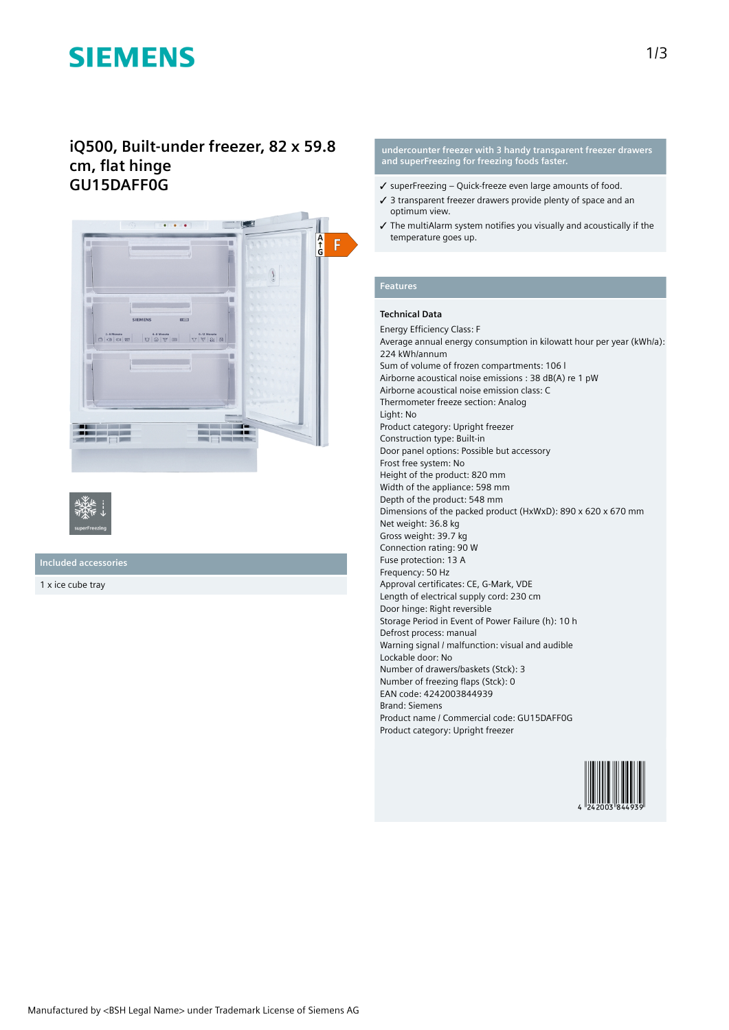# **SIEMENS**

# **iQ500, Built-under freezer, 82 x 59.8 cm, flat hinge GU15DAFF0G**





**Included accessories**

1 x ice cube tray

#### **undercounter freezer with 3 handy transparent freezer drawers and superFreezing for freezing foods faster.**

- ✓ superFreezing Quick-freeze even large amounts of food.
- ✓ 3 transparent freezer drawers provide plenty of space and an optimum view.
- ✓ The multiAlarm system notifies you visually and acoustically if the temperature goes up.

## **Features**

### **Technical Data**

Energy Efficiency Class: F

Average annual energy consumption in kilowatt hour per year (kWh/a): 224 kWh/annum Sum of volume of frozen compartments: 106 l Airborne acoustical noise emissions : 38 dB(A) re 1 pW Airborne acoustical noise emission class: C Thermometer freeze section: Analog Light: No Product category: Upright freezer Construction type: Built-in Door panel options: Possible but accessory Frost free system: No Height of the product: 820 mm Width of the appliance: 598 mm Depth of the product: 548 mm Dimensions of the packed product (HxWxD): 890 x 620 x 670 mm Net weight: 36.8 kg Gross weight: 39.7 kg Connection rating: 90 W Fuse protection: 13 A Frequency: 50 Hz Approval certificates: CE, G-Mark, VDE Length of electrical supply cord: 230 cm Door hinge: Right reversible Storage Period in Event of Power Failure (h): 10 h Defrost process: manual Warning signal / malfunction: visual and audible Lockable door: No Number of drawers/baskets (Stck): 3 Number of freezing flaps (Stck): 0 EAN code: 4242003844939 Brand: Siemens Product name / Commercial code: GU15DAFF0G Product category: Upright freezer

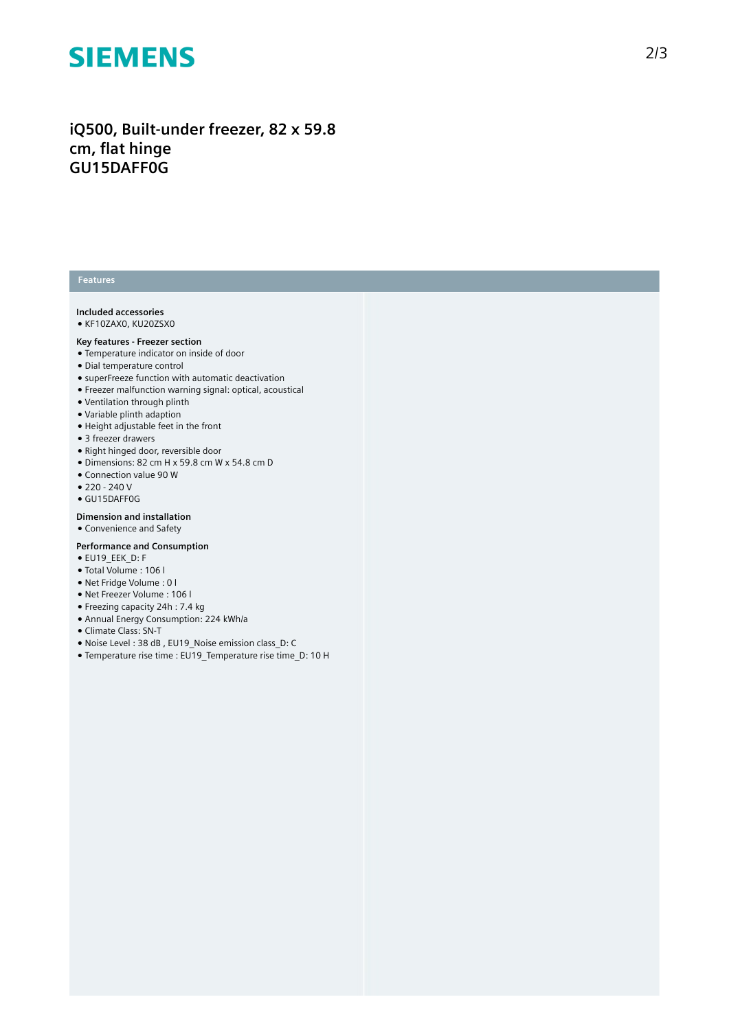# **SIEMENS**

# iQ500, Built-under freezer, 82 x 59.8 **c m , fl a t h i n g e G U 1 5 D A F F 0 G**

#### **Features**

### Included accessories

• KF10ZAX0, KU20ZSX0

#### Key features - Freezer section

- Temperature indicator on inside of door
- Dial temperature control
- superFreeze function with automatic deactivation
- Freezer malfunction warning signal: optical, acoustical
- Ventilation through plinth
- Variable plinth adaption
- Height adjustable feet in the front
- 3 freezer drawers
- Right hinged door, reversible door
- Dimensions: 82 cm H x 59.8 cm W x 54.8 cm D
- Connection value 90 W
- 220 240 V
- GU15DAFF0G

### **Dimension and installation**

● Convenience and Safety

#### **Performance and Consumption**

- EU19\_EEK\_D: F
- Total Volume : 106 l
- Net Fridge Volume : 0 l
- Net Freezer Volume : 106 l
- Freezing capacity 24h : 7.4 kg
- Annual Energy Consumption: 224 kWh/a
- Climate Class: SN-T
- Noise Level : 38 dB , EU19\_Noise emission class\_D: C
- Temperature rise time : EU19\_Temperature rise time\_D: 10 H